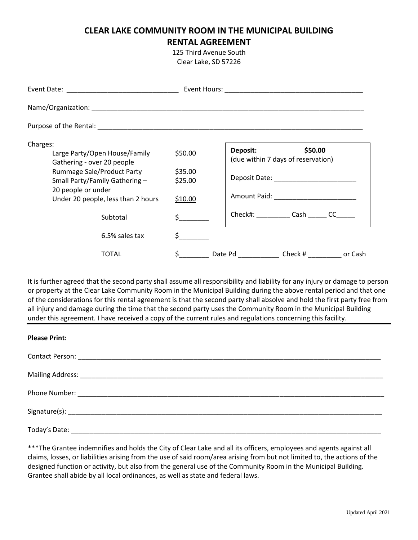## **CLEAR LAKE COMMUNITY ROOM IN THE MUNICIPAL BUILDING RENTAL AGREEMENT**

125 Third Avenue South Clear Lake, SD 57226

| Charges:<br>Large Party/Open House/Family<br>Gathering - over 20 people | \$50.00                                   | \$50.00<br>Deposit:<br>(due within 7 days of reservation)                                                                                                                                                                      |
|-------------------------------------------------------------------------|-------------------------------------------|--------------------------------------------------------------------------------------------------------------------------------------------------------------------------------------------------------------------------------|
| <b>Rummage Sale/Product Party</b><br>Small Party/Family Gathering -     | \$35.00<br>\$25.00                        | Deposit Date: National Proposition of the Contract of the Contract of the Contract of the Contract of the Contract of the Contract of the Contract of the Contract of the Contract of the Contract of the Contract of the Cont |
| 20 people or under<br>Under 20 people, less than 2 hours                | \$10.00                                   |                                                                                                                                                                                                                                |
| Subtotal                                                                | $\sharp$ , and the set of $\sharp$        | Check#: Cash CC                                                                                                                                                                                                                |
| 6.5% sales tax                                                          | $\mathsf{\dot{S}}$ and $\mathsf{\dot{S}}$ |                                                                                                                                                                                                                                |
| TOTAL                                                                   |                                           | Date Pd _____________________ Check # _______________ or Cash                                                                                                                                                                  |

It is further agreed that the second party shall assume all responsibility and liability for any injury or damage to person or property at the Clear Lake Community Room in the Municipal Building during the above rental period and that one of the considerations for this rental agreement is that the second party shall absolve and hold the first party free from all injury and damage during the time that the second party uses the Community Room in the Municipal Building under this agreement. I have received a copy of the current rules and regulations concerning this facility.

| <b>Please Print:</b> |  |  |  |
|----------------------|--|--|--|
|                      |  |  |  |
|                      |  |  |  |
|                      |  |  |  |
|                      |  |  |  |
|                      |  |  |  |

\*\*\*The Grantee indemnifies and holds the City of Clear Lake and all its officers, employees and agents against all claims, losses, or liabilities arising from the use of said room/area arising from but not limited to, the actions of the designed function or activity, but also from the general use of the Community Room in the Municipal Building. Grantee shall abide by all local ordinances, as well as state and federal laws.